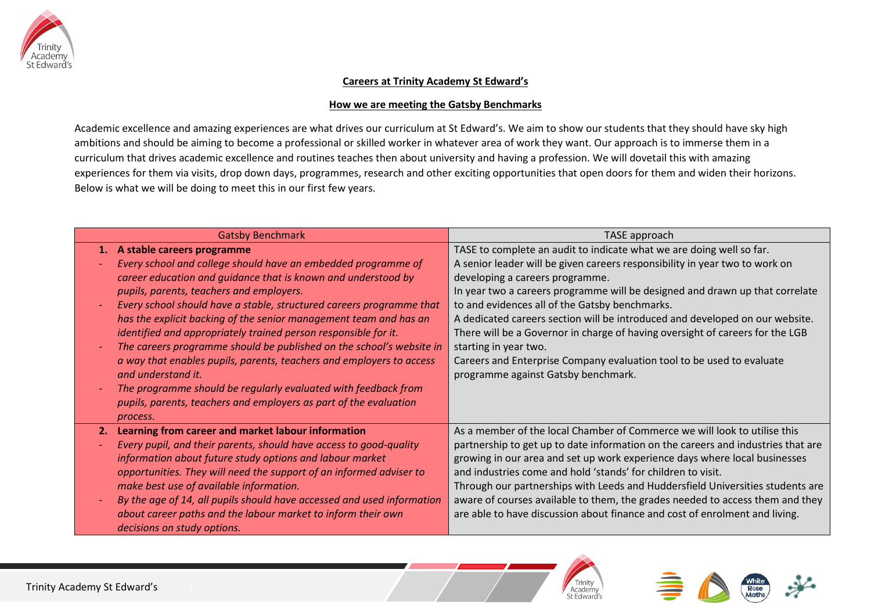

## **Careers at Trinity Academy St Edward's**

## **How we are meeting the Gatsby Benchmarks**

Academic excellence and amazing experiences are what drives our curriculum at St Edward's. We aim to show our students that they should have sky high ambitions and should be aiming to become a professional or skilled worker in whatever area of work they want. Our approach is to immerse them in a curriculum that drives academic excellence and routines teaches then about university and having a profession. We will dovetail this with amazing experiences for them via visits, drop down days, programmes, research and other exciting opportunities that open doors for them and widen their horizons. Below is what we will be doing to meet this in our first few years.

| <b>Gatsby Benchmark</b>                                                | TASE approach                                                                    |
|------------------------------------------------------------------------|----------------------------------------------------------------------------------|
| 1. A stable careers programme                                          | TASE to complete an audit to indicate what we are doing well so far.             |
| Every school and college should have an embedded programme of          | A senior leader will be given careers responsibility in year two to work on      |
| career education and quidance that is known and understood by          | developing a careers programme.                                                  |
| pupils, parents, teachers and employers.                               | In year two a careers programme will be designed and drawn up that correlate     |
| Every school should have a stable, structured careers programme that   | to and evidences all of the Gatsby benchmarks.                                   |
| has the explicit backing of the senior management team and has an      | A dedicated careers section will be introduced and developed on our website.     |
| identified and appropriately trained person responsible for it.        | There will be a Governor in charge of having oversight of careers for the LGB    |
| The careers programme should be published on the school's website in   | starting in year two.                                                            |
| a way that enables pupils, parents, teachers and employers to access   | Careers and Enterprise Company evaluation tool to be used to evaluate            |
| and understand it.                                                     | programme against Gatsby benchmark.                                              |
| The programme should be regularly evaluated with feedback from         |                                                                                  |
| pupils, parents, teachers and employers as part of the evaluation      |                                                                                  |
| process.                                                               |                                                                                  |
| Learning from career and market labour information<br>2.               | As a member of the local Chamber of Commerce we will look to utilise this        |
| Every pupil, and their parents, should have access to good-quality     | partnership to get up to date information on the careers and industries that are |
| information about future study options and labour market               | growing in our area and set up work experience days where local businesses       |
| opportunities. They will need the support of an informed adviser to    | and industries come and hold 'stands' for children to visit.                     |
| make best use of available information.                                | Through our partnerships with Leeds and Huddersfield Universities students are   |
| By the age of 14, all pupils should have accessed and used information | aware of courses available to them, the grades needed to access them and they    |
| about career paths and the labour market to inform their own           | are able to have discussion about finance and cost of enrolment and living.      |
| decisions on study options.                                            |                                                                                  |



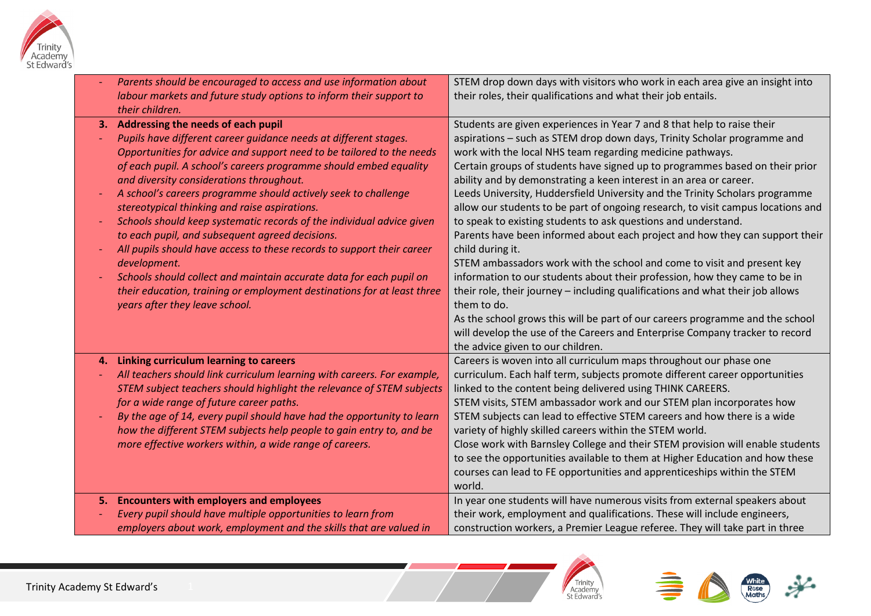

|    | Parents should be encouraged to access and use information about<br>labour markets and future study options to inform their support to<br>their children.                                                                                                                                                                                                                                                                                                                                                                                                                                                                                                                                                                                                                                                                        | STEM drop down days with visitors who work in each area give an insight into<br>their roles, their qualifications and what their job entails.                                                                                                                                                                                                                                                                                                                                                                                                                                                                                                                                                                                                                                                                                                                                                                                                                                                                                                                                                                                               |
|----|----------------------------------------------------------------------------------------------------------------------------------------------------------------------------------------------------------------------------------------------------------------------------------------------------------------------------------------------------------------------------------------------------------------------------------------------------------------------------------------------------------------------------------------------------------------------------------------------------------------------------------------------------------------------------------------------------------------------------------------------------------------------------------------------------------------------------------|---------------------------------------------------------------------------------------------------------------------------------------------------------------------------------------------------------------------------------------------------------------------------------------------------------------------------------------------------------------------------------------------------------------------------------------------------------------------------------------------------------------------------------------------------------------------------------------------------------------------------------------------------------------------------------------------------------------------------------------------------------------------------------------------------------------------------------------------------------------------------------------------------------------------------------------------------------------------------------------------------------------------------------------------------------------------------------------------------------------------------------------------|
|    | 3. Addressing the needs of each pupil<br>Pupils have different career guidance needs at different stages.<br>Opportunities for advice and support need to be tailored to the needs<br>of each pupil. A school's careers programme should embed equality<br>and diversity considerations throughout.<br>A school's careers programme should actively seek to challenge<br>stereotypical thinking and raise aspirations.<br>Schools should keep systematic records of the individual advice given<br>to each pupil, and subsequent agreed decisions.<br>All pupils should have access to these records to support their career<br>development.<br>Schools should collect and maintain accurate data for each pupil on<br>their education, training or employment destinations for at least three<br>years after they leave school. | Students are given experiences in Year 7 and 8 that help to raise their<br>aspirations - such as STEM drop down days, Trinity Scholar programme and<br>work with the local NHS team regarding medicine pathways.<br>Certain groups of students have signed up to programmes based on their prior<br>ability and by demonstrating a keen interest in an area or career.<br>Leeds University, Huddersfield University and the Trinity Scholars programme<br>allow our students to be part of ongoing research, to visit campus locations and<br>to speak to existing students to ask questions and understand.<br>Parents have been informed about each project and how they can support their<br>child during it.<br>STEM ambassadors work with the school and come to visit and present key<br>information to our students about their profession, how they came to be in<br>their role, their journey - including qualifications and what their job allows<br>them to do.<br>As the school grows this will be part of our careers programme and the school<br>will develop the use of the Careers and Enterprise Company tracker to record |
|    |                                                                                                                                                                                                                                                                                                                                                                                                                                                                                                                                                                                                                                                                                                                                                                                                                                  | the advice given to our children.                                                                                                                                                                                                                                                                                                                                                                                                                                                                                                                                                                                                                                                                                                                                                                                                                                                                                                                                                                                                                                                                                                           |
| 4. | Linking curriculum learning to careers                                                                                                                                                                                                                                                                                                                                                                                                                                                                                                                                                                                                                                                                                                                                                                                           | Careers is woven into all curriculum maps throughout our phase one                                                                                                                                                                                                                                                                                                                                                                                                                                                                                                                                                                                                                                                                                                                                                                                                                                                                                                                                                                                                                                                                          |
|    | All teachers should link curriculum learning with careers. For example,                                                                                                                                                                                                                                                                                                                                                                                                                                                                                                                                                                                                                                                                                                                                                          | curriculum. Each half term, subjects promote different career opportunities                                                                                                                                                                                                                                                                                                                                                                                                                                                                                                                                                                                                                                                                                                                                                                                                                                                                                                                                                                                                                                                                 |
|    | STEM subject teachers should highlight the relevance of STEM subjects                                                                                                                                                                                                                                                                                                                                                                                                                                                                                                                                                                                                                                                                                                                                                            | linked to the content being delivered using THINK CAREERS.                                                                                                                                                                                                                                                                                                                                                                                                                                                                                                                                                                                                                                                                                                                                                                                                                                                                                                                                                                                                                                                                                  |
|    | for a wide range of future career paths.<br>By the age of 14, every pupil should have had the opportunity to learn                                                                                                                                                                                                                                                                                                                                                                                                                                                                                                                                                                                                                                                                                                               | STEM visits, STEM ambassador work and our STEM plan incorporates how<br>STEM subjects can lead to effective STEM careers and how there is a wide                                                                                                                                                                                                                                                                                                                                                                                                                                                                                                                                                                                                                                                                                                                                                                                                                                                                                                                                                                                            |
|    | how the different STEM subjects help people to gain entry to, and be                                                                                                                                                                                                                                                                                                                                                                                                                                                                                                                                                                                                                                                                                                                                                             | variety of highly skilled careers within the STEM world.                                                                                                                                                                                                                                                                                                                                                                                                                                                                                                                                                                                                                                                                                                                                                                                                                                                                                                                                                                                                                                                                                    |
|    | more effective workers within, a wide range of careers.                                                                                                                                                                                                                                                                                                                                                                                                                                                                                                                                                                                                                                                                                                                                                                          | Close work with Barnsley College and their STEM provision will enable students                                                                                                                                                                                                                                                                                                                                                                                                                                                                                                                                                                                                                                                                                                                                                                                                                                                                                                                                                                                                                                                              |
|    |                                                                                                                                                                                                                                                                                                                                                                                                                                                                                                                                                                                                                                                                                                                                                                                                                                  | to see the opportunities available to them at Higher Education and how these                                                                                                                                                                                                                                                                                                                                                                                                                                                                                                                                                                                                                                                                                                                                                                                                                                                                                                                                                                                                                                                                |
|    |                                                                                                                                                                                                                                                                                                                                                                                                                                                                                                                                                                                                                                                                                                                                                                                                                                  | courses can lead to FE opportunities and apprenticeships within the STEM                                                                                                                                                                                                                                                                                                                                                                                                                                                                                                                                                                                                                                                                                                                                                                                                                                                                                                                                                                                                                                                                    |
|    |                                                                                                                                                                                                                                                                                                                                                                                                                                                                                                                                                                                                                                                                                                                                                                                                                                  | world.                                                                                                                                                                                                                                                                                                                                                                                                                                                                                                                                                                                                                                                                                                                                                                                                                                                                                                                                                                                                                                                                                                                                      |
|    | 5. Encounters with employers and employees                                                                                                                                                                                                                                                                                                                                                                                                                                                                                                                                                                                                                                                                                                                                                                                       | In year one students will have numerous visits from external speakers about                                                                                                                                                                                                                                                                                                                                                                                                                                                                                                                                                                                                                                                                                                                                                                                                                                                                                                                                                                                                                                                                 |
|    | Every pupil should have multiple opportunities to learn from                                                                                                                                                                                                                                                                                                                                                                                                                                                                                                                                                                                                                                                                                                                                                                     | their work, employment and qualifications. These will include engineers,                                                                                                                                                                                                                                                                                                                                                                                                                                                                                                                                                                                                                                                                                                                                                                                                                                                                                                                                                                                                                                                                    |
|    | employers about work, employment and the skills that are valued in                                                                                                                                                                                                                                                                                                                                                                                                                                                                                                                                                                                                                                                                                                                                                               | construction workers, a Premier League referee. They will take part in three                                                                                                                                                                                                                                                                                                                                                                                                                                                                                                                                                                                                                                                                                                                                                                                                                                                                                                                                                                                                                                                                |



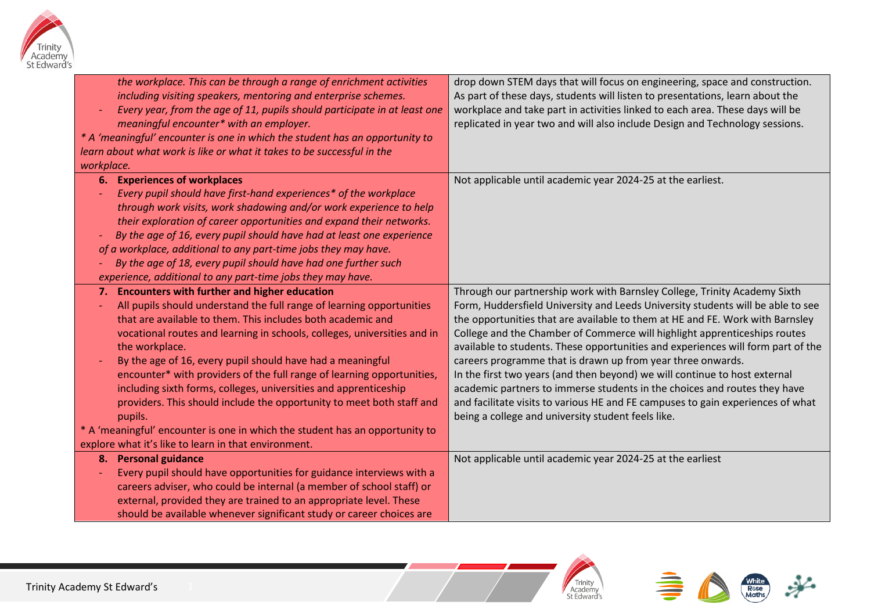

| the workplace. This can be through a range of enrichment activities<br>including visiting speakers, mentoring and enterprise schemes.<br>Every year, from the age of 11, pupils should participate in at least one<br>meaningful encounter* with an employer.<br>* A 'meaningful' encounter is one in which the student has an opportunity to<br>learn about what work is like or what it takes to be successful in the<br>workplace.                                                                                                                                                                                                                                                                                                   | drop down STEM days that will focus on engineering, space and construction.<br>As part of these days, students will listen to presentations, learn about the<br>workplace and take part in activities linked to each area. These days will be<br>replicated in year two and will also include Design and Technology sessions.                                                                                                                                                                                                                                                                                                                                                                                                                                                     |
|-----------------------------------------------------------------------------------------------------------------------------------------------------------------------------------------------------------------------------------------------------------------------------------------------------------------------------------------------------------------------------------------------------------------------------------------------------------------------------------------------------------------------------------------------------------------------------------------------------------------------------------------------------------------------------------------------------------------------------------------|-----------------------------------------------------------------------------------------------------------------------------------------------------------------------------------------------------------------------------------------------------------------------------------------------------------------------------------------------------------------------------------------------------------------------------------------------------------------------------------------------------------------------------------------------------------------------------------------------------------------------------------------------------------------------------------------------------------------------------------------------------------------------------------|
| <b>Experiences of workplaces</b><br>6.<br>Every pupil should have first-hand experiences* of the workplace<br>through work visits, work shadowing and/or work experience to help<br>their exploration of career opportunities and expand their networks.<br>By the age of 16, every pupil should have had at least one experience<br>of a workplace, additional to any part-time jobs they may have.<br>By the age of 18, every pupil should have had one further such<br>experience, additional to any part-time jobs they may have.                                                                                                                                                                                                   | Not applicable until academic year 2024-25 at the earliest.                                                                                                                                                                                                                                                                                                                                                                                                                                                                                                                                                                                                                                                                                                                       |
| <b>Encounters with further and higher education</b><br>7.<br>All pupils should understand the full range of learning opportunities<br>that are available to them. This includes both academic and<br>vocational routes and learning in schools, colleges, universities and in<br>the workplace.<br>By the age of 16, every pupil should have had a meaningful<br>encounter* with providers of the full range of learning opportunities,<br>including sixth forms, colleges, universities and apprenticeship<br>providers. This should include the opportunity to meet both staff and<br>pupils.<br>* A 'meaningful' encounter is one in which the student has an opportunity to<br>explore what it's like to learn in that environment. | Through our partnership work with Barnsley College, Trinity Academy Sixth<br>Form, Huddersfield University and Leeds University students will be able to see<br>the opportunities that are available to them at HE and FE. Work with Barnsley<br>College and the Chamber of Commerce will highlight apprenticeships routes<br>available to students. These opportunities and experiences will form part of the<br>careers programme that is drawn up from year three onwards.<br>In the first two years (and then beyond) we will continue to host external<br>academic partners to immerse students in the choices and routes they have<br>and facilitate visits to various HE and FE campuses to gain experiences of what<br>being a college and university student feels like. |
| 8. Personal guidance<br>Every pupil should have opportunities for guidance interviews with a<br>careers adviser, who could be internal (a member of school staff) or<br>external, provided they are trained to an appropriate level. These<br>should be available whenever significant study or career choices are                                                                                                                                                                                                                                                                                                                                                                                                                      | Not applicable until academic year 2024-25 at the earliest                                                                                                                                                                                                                                                                                                                                                                                                                                                                                                                                                                                                                                                                                                                        |